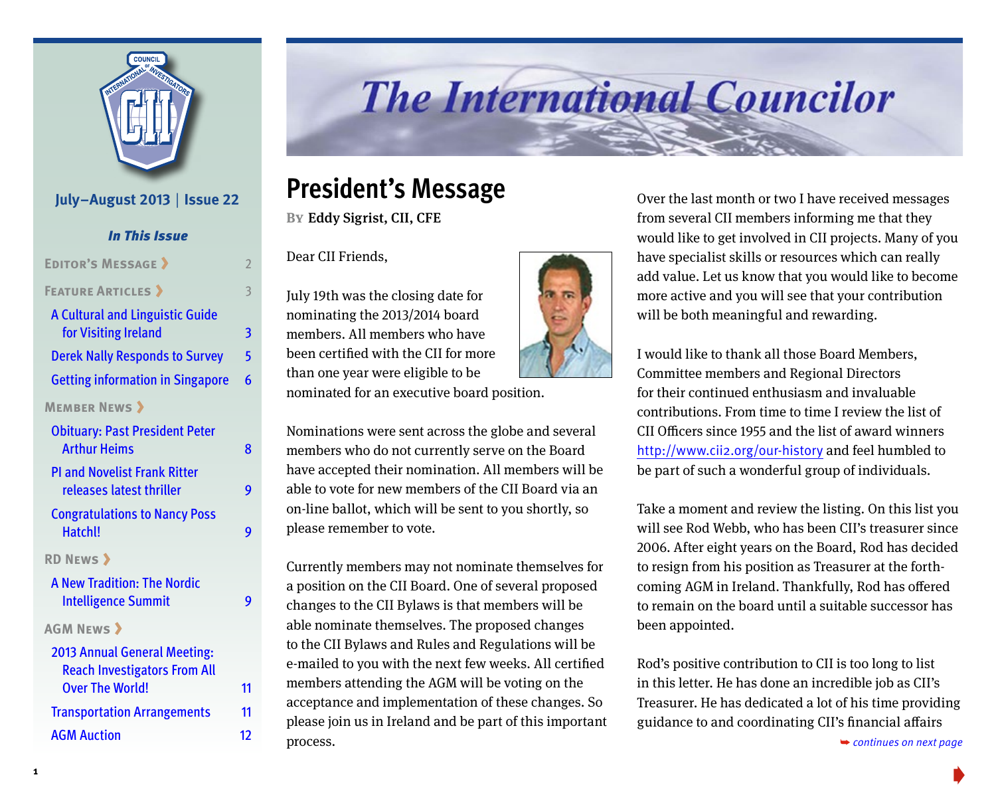

#### **July–August 2013** | **Issue 22**

| <b>In This Issue</b>                                                       |                |
|----------------------------------------------------------------------------|----------------|
| <b>EDITOR'S MESSAGE &gt;</b>                                               | $\overline{2}$ |
| <b>FEATURE ARTICLES &gt;</b>                                               | 3              |
| <b>A Cultural and Linguistic Guide</b><br>for Visiting Ireland             | 3              |
| <b>Derek Nally Responds to Survey</b>                                      | 5              |
| <b>Getting information in Singapore</b>                                    | 6              |
| <b>MEMBER NEWS &gt;</b>                                                    |                |
| <b>Obituary: Past President Peter</b><br><b>Arthur Heims</b>               | 8              |
| <b>PI and Novelist Frank Ritter</b><br>releases latest thriller            | 9              |
| <b>Congratulations to Nancy Poss</b><br>Hatchl!                            | 9              |
| <b>RD NEWS &gt;</b>                                                        |                |
| <b>A New Tradition: The Nordic</b><br><b>Intelligence Summit</b>           | 9              |
| <b>AGM NEWS &gt;</b>                                                       |                |
| <b>2013 Annual General Meeting:</b><br><b>Reach Investigators From All</b> |                |
| <b>Over The World!</b>                                                     | 11             |
| <b>Transportation Arrangements</b>                                         | 11             |
| <b>AGM Auction</b>                                                         | 12             |

# **The International Councilor**

### **President's Message**

**By**Eddy Sigrist, CII, CFE

Dear CII Friends,

July 19th was the closing date for nominating the 2013/2014 board members. All members who have been certified with the CII for more than one year were eligible to be nominated for an executive board position.

Nominations were sent across the globe and several members who do not currently serve on the Board have accepted their nomination. All members will be able to vote for new members of the CII Board via an on-line ballot, which will be sent to you shortly, so please remember to vote.

Currently members may not nominate themselves for a position on the CII Board. One of several proposed changes to the CII Bylaws is that members will be able nominate themselves. The proposed changes to the CII Bylaws and Rules and Regulations will be e-mailed to you with the next few weeks. All certified members attending the AGM will be voting on the acceptance and implementation of these changes. So please join us in Ireland and be part of this important process. [AGM Auction](#page-11-0) 12 → <sup>1</sup> *process.* The continues on next page **→** continues on next page



Over the last month or two I have received messages from several CII members informing me that they would like to get involved in CII projects. Many of you have specialist skills or resources which can really add value. Let us know that you would like to become more active and you will see that your contribution will be both meaningful and rewarding.

I would like to thank all those Board Members, Committee members and Regional Directors for their continued enthusiasm and invaluable contributions. From time to time I review the list of CII Officers since 1955 and the list of award winners http://www.cii2.org/our-history and feel humbled to be part of such a wonderful group of individuals.

Take a moment and review the listing. On this list you will see Rod Webb, who has been CII's treasurer since 2006. After eight years on the Board, Rod has decided to resign from his position as Treasurer at the forthcoming AGM in Ireland. Thankfully, Rod has offered to remain on the board until a suitable successor has been appointed.

Rod's positive contribution to CII is too long to list in this letter. He has done an incredible job as CII's Treasurer. He has dedicated a lot of his time providing [guidance to and coordinating CII's financial affairs](#page-1-0)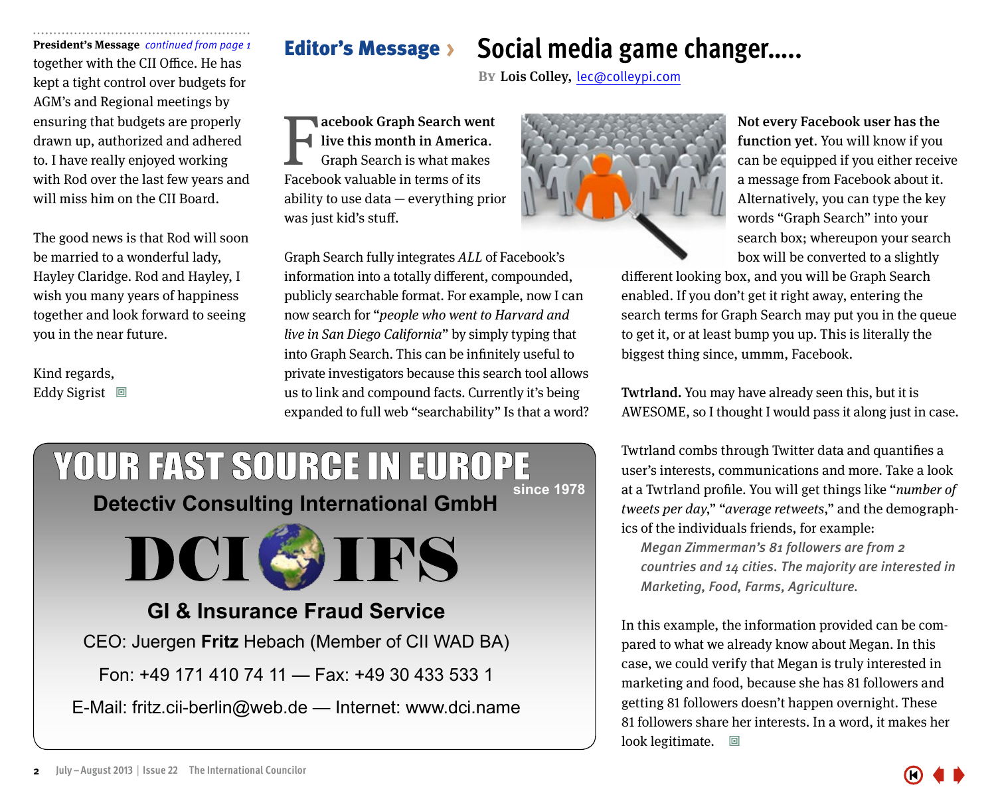<span id="page-1-0"></span>**President's Message** *continued from page 1* **Editor's Message** > together with the CII Office. He has kept a tight control over budgets for AGM's and Regional meetings by ensuring that budgets are properly drawn up, authorized and adhered to. I have really enjoyed working with Rod over the last few years and will miss him on the CII Board.

The good news is that Rod will soon be married to a wonderful lady, Hayley Claridge. Rod and Hayley, I wish you many years of happiness together and look forward to seeing you in the near future.

Kind regards, Eddy Sigrist  $\Box$ 

### **Social media game changer…..**

**BY** Lois Colley, lec@colleypi.com

acebook Graph Search went live this month in America. Graph Search is what makes **Facebook Graph Search we<br>
Graph Search is what make**<br>
Facebook valuable in terms of its ability to use data — everything prior was just kid's stuff.

Graph Search fully integrates ALL of Facebook's information into a totally different, compounded, publicly searchable format. For example, now I can now search for "people who went to Harvard and live in San Diego California" by simply typing that into Graph Search. This can be infinitely useful to private investigators because this search tool allows us to link and compound facts. Currently it's being expanded to full web "searchability" Is that a word?





Not every Facebook user has the function yet. You will know if you can be equipped if you either receive a message from Facebook about it. Alternatively, you can type the key words "Graph Search" into your search box; whereupon your search box will be converted to a slightly

different looking box, and you will be Graph Search enabled. If you don't get it right away, entering the search terms for Graph Search may put you in the queue to get it, or at least bump you up. This is literally the biggest thing since, ummm, Facebook.

Twtrland. You may have already seen this, but it is AWESOME, so I thought I would pass it along just in case.

Twtrland combs through Twitter data and quantifies a user's interests, communications and more. Take a look at a Twtrland profile. You will get things like "number of tweets per day," "average retweets," and the demographics of the individuals friends, for example:

*Megan Zimmerman's 81 followers are from 2 countries and 14 cities. The majority are interested in Marketing, Food, Farms, Agriculture.*

In this example, the information provided can be compared to what we already know about Megan. In this case, we could verify that Megan is truly interested in marketing and food, because she has 81 followers and getting 81 followers doesn't happen overnight. These 81 followers share her interests. In a word, it makes her look legitimate.  $\Box$ 

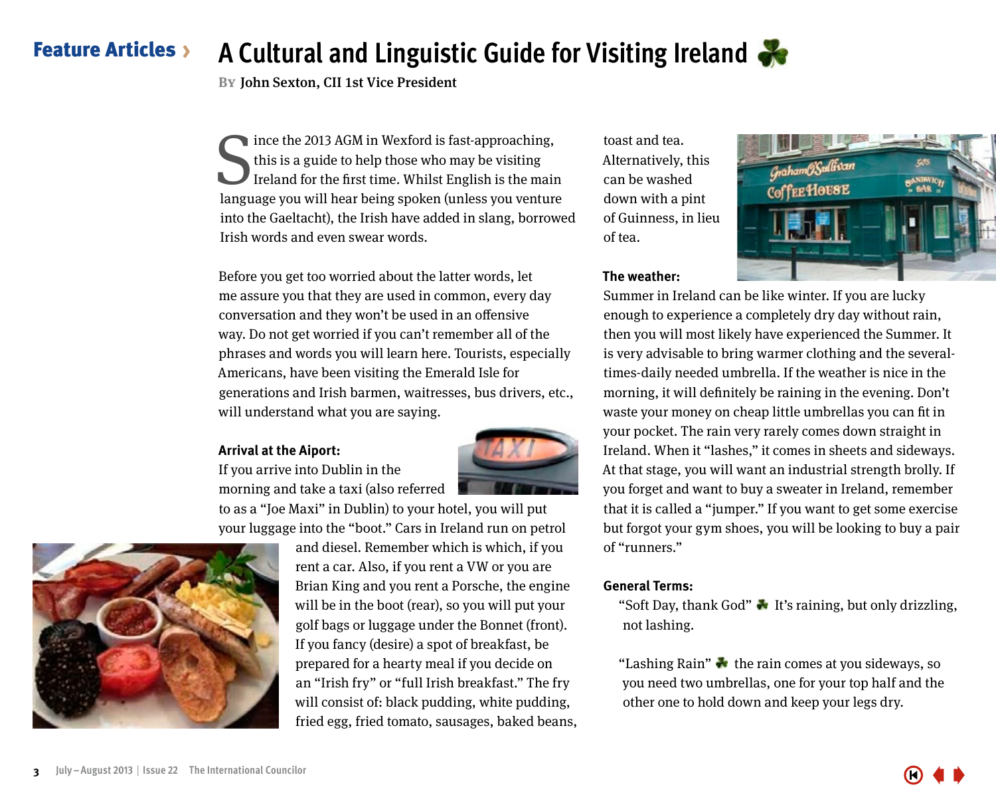#### <span id="page-2-0"></span>**Feature Articles > A Cultural and Linguistic Guide for Visiting Ireland**

**By**John Sexton, CII 1st Vice President

Since the 2013 AGM in Wexford is fast-approaching,<br>this is a guide to help those who may be visiting<br>Ireland for the first time. Whilst English is the main<br>language you will hear being spoken (unless you venture ince the 2013 AGM in Wexford is fast-approaching, this is a guide to help those who may be visiting Ireland for the first time. Whilst English is the main into the Gaeltacht), the Irish have added in slang, borrowed Irish words and even swear words.

Before you get too worried about the latter words, let me assure you that they are used in common, every day conversation and they won't be used in an offensive way. Do not get worried if you can't remember all of the phrases and words you will learn here. Tourists, especially Americans, have been visiting the Emerald Isle for generations and Irish barmen, waitresses, bus drivers, etc., will understand what you are saying.

#### **Arrival at the Aiport:**

If you arrive into Dublin in the morning and take a taxi (also referred



to as a "Joe Maxi" in Dublin) to your hotel, you will put your luggage into the "boot." Cars in Ireland run on petrol



and diesel. Remember which is which, if you rent a car. Also, if you rent a VW or you are Brian King and you rent a Porsche, the engine will be in the boot (rear), so you will put your golf bags or luggage under the Bonnet (front). If you fancy (desire) a spot of breakfast, be prepared for a hearty meal if you decide on an "Irish fry" or "full Irish breakfast." The fry will consist of: black pudding, white pudding, fried egg, fried tomato, sausages, baked beans, toast and tea. Alternatively, this can be washed down with a pint of Guinness, in lieu of tea.



#### **The weather:**

Summer in Ireland can be like winter. If you are lucky enough to experience a completely dry day without rain, then you will most likely have experienced the Summer. It is very advisable to bring warmer clothing and the severaltimes-daily needed umbrella. If the weather is nice in the morning, it will definitely be raining in the evening. Don't waste your money on cheap little umbrellas you can fit in your pocket. The rain very rarely comes down straight in Ireland. When it "lashes," it comes in sheets and sideways. At that stage, you will want an industrial strength brolly. If you forget and want to buy a sweater in Ireland, remember that it is called a "jumper." If you want to get some exercise but forgot your gym shoes, you will be looking to buy a pair of "runners."

#### **General Terms:**

"Soft Day, thank God"  $\bullet$  It's raining, but only drizzling, not lashing.

"Lashing Rain"  $\bullet$  the rain comes at you sideways, so you need two umbrellas, one for your top half and the other one to hold down and keep your legs dry.

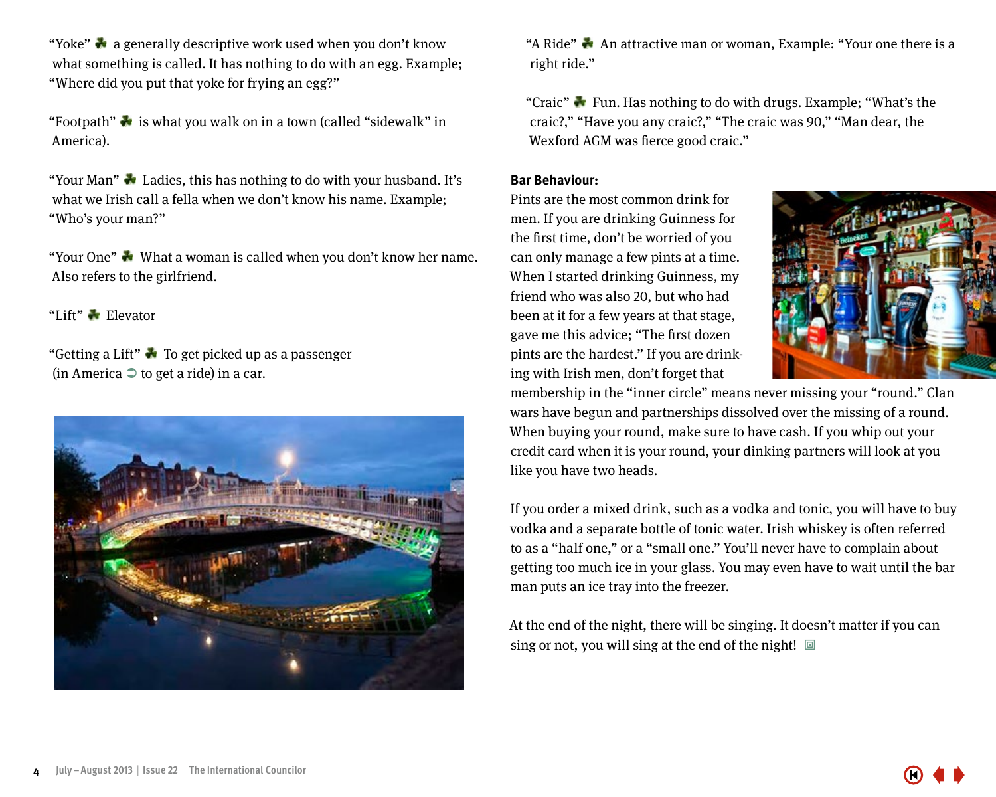"Yoke"  a generally descriptive work used when you don't know what something is called. It has nothing to do with an egg. Example; "Where did you put that yoke for frying an egg?"

"Footpath" $\bullet$  is what you walk on in a town (called "sidewalk" in America).

"Your Man"  $\blacktriangleright$  Ladies, this has nothing to do with your husband. It's what we Irish call a fella when we don't know his name. Example; "Who's your man?"

"Your One"  What a woman is called when you don't know her name. Also refers to the girlfriend.

"Lift"  Elevator

"Getting a Lift"  To get picked up as a passenger (in America  $\supseteq$  to get a ride) in a car.



"A Ride"  $\clubsuit$  An attractive man or woman, Example: "Your one there is a right ride."

"Craic"  $\bullet$  Fun. Has nothing to do with drugs. Example: "What's the craic?," "Have you any craic?," "The craic was 90," "Man dear, the Wexford AGM was fierce good craic."

#### **Bar Behaviour:**

Pints are the most common drink for men. If you are drinking Guinness for the first time, don't be worried of you can only manage a few pints at a time. When I started drinking Guinness, my friend who was also 20, but who had been at it for a few years at that stage, gave me this advice; "The first dozen pints are the hardest." If you are drinking with Irish men, don't forget that



membership in the "inner circle" means never missing your "round." Clan wars have begun and partnerships dissolved over the missing of a round. When buying your round, make sure to have cash. If you whip out your credit card when it is your round, your dinking partners will look at you like you have two heads.

If you order a mixed drink, such as a vodka and tonic, you will have to buy vodka and a separate bottle of tonic water. Irish whiskey is often referred to as a "half one," or a "small one." You'll never have to complain about getting too much ice in your glass. You may even have to wait until the bar man puts an ice tray into the freezer.

At the end of the night, there will be singing. It doesn't matter if you can sing or not, you will sing at the end of the night!  $\Box$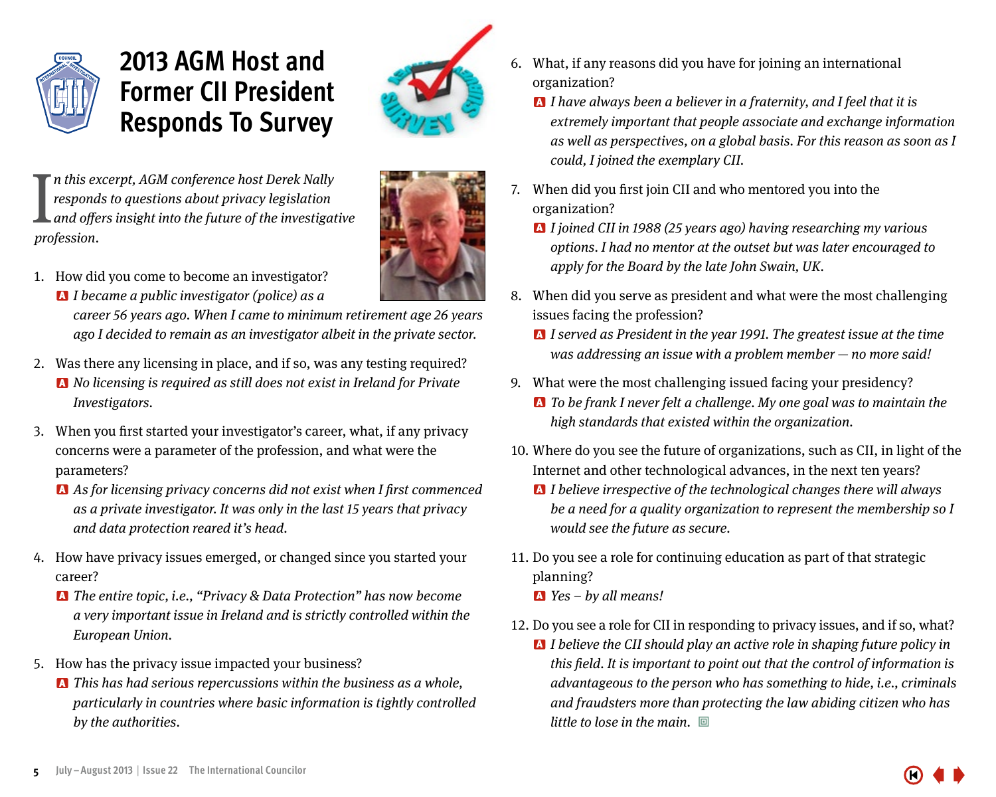<span id="page-4-0"></span>

### **2013 AGM Host and Former CII President Responds To Survey**



 $\int_a^n t$  *his ex* respond<br>and offer<br>profession. n this excerpt, AGM conference host Derek Nally responds to questions about privacy legislation and offers insight into the future of the investigative



1. How did you come to become an investigator? **A** *I* became a public investigator (police) as a

> career 56 years ago. When I came to minimum retirement age 26 years ago I decided to remain as an investigator albeit in the private sector.

- 2. Was there any licensing in place, and if so, was any testing required? A No licensing is required as still does not exist in Ireland for Private Investigators.
- 3. When you first started your investigator's career, what, if any privacy concerns were a parameter of the profession, and what were the parameters?
	- A As for licensing privacy concerns did not exist when I first commenced as a private investigator. It was only in the last 15 years that privacy and data protection reared it's head.
- 4. How have privacy issues emerged, or changed since you started your career?
	- A The entire topic, i.e., "Privacy & Data Protection" has now become a very important issue in Ireland and is strictly controlled within the European Union.
- 5. How has the privacy issue impacted your business?
	- **A** This has had serious repercussions within the business as a whole, particularly in countries where basic information is tightly controlled by the authorities.
- 6. What, if any reasons did you have for joining an international organization?
	- $\blacksquare$  I have always been a believer in a fraternity, and I feel that it is extremely important that people associate and exchange information as well as perspectives, on a global basis. For this reason as soon as I could, I joined the exemplary CII.
- 7. When did you first join CII and who mentored you into the organization?
	- A I joined CII in 1988 (25 years ago) having researching my various options. I had no mentor at the outset but was later encouraged to apply for the Board by the late John Swain, UK.
- 8. When did you serve as president and what were the most challenging issues facing the profession?
	- A I served as President in the year 1991. The greatest issue at the time was addressing an issue with a problem member — no more said!
- 9. What were the most challenging issued facing your presidency?
	- A To be frank I never felt a challenge. My one goal was to maintain the high standards that existed within the organization.
- 10. Where do you see the future of organizations, such as CII, in light of the Internet and other technological advances, in the next ten years?
	- **A** I believe irrespective of the technological changes there will always be a need for a quality organization to represent the membership so I would see the future as secure.
- 11. Do you see a role for continuing education as part of that strategic planning?
	- $\triangle$  Yes by all means!
- 12. Do you see a role for CII in responding to privacy issues, and if so, what?
	- **A** I believe the CII should play an active role in shaping future policy in this field. It is important to point out that the control of information is advantageous to the person who has something to hide, i.e., criminals and fraudsters more than protecting the law abiding citizen who has little to lose in the main.  $\Box$

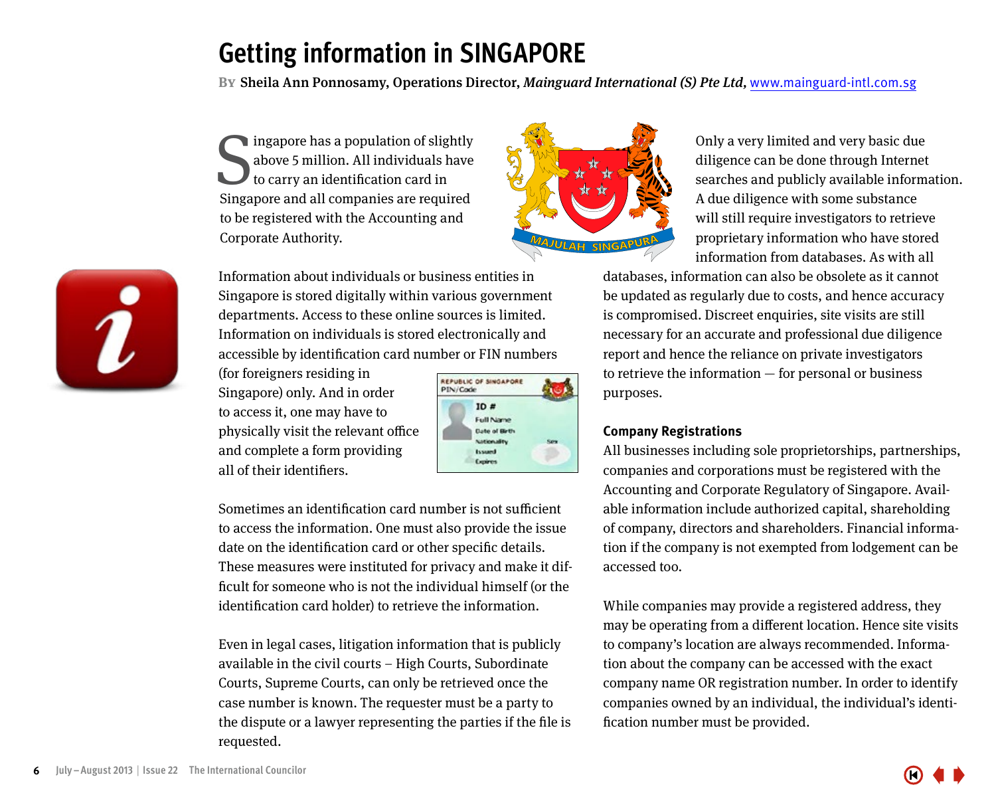## <span id="page-5-0"></span>**Getting information in SINGAPORE**

**By**Sheila Ann Ponnosamy, Operations Director, Mainguard International (S) Pte Ltd, www.mainguard-intl.com.sg

Singapore has a population of slightly<br>above 5 million. All individuals have<br>to carry an identification card in<br>Singapore and all companies are required ingapore has a population of slightly above 5 million. All individuals have to carry an identification card in to be registered with the Accounting and Corporate Authority.

Information about individuals or business entities in Singapore is stored digitally within various government departments. Access to these online sources is limited. Information on individuals is stored electronically and accessible by identification card number or FIN numbers

(for foreigners residing in Singapore) only. And in order to access it, one may have to physically visit the relevant office and complete a form providing all of their identifiers.



Sometimes an identification card number is not sufficient to access the information. One must also provide the issue date on the identification card or other specific details. These measures were instituted for privacy and make it difficult for someone who is not the individual himself (or the identification card holder) to retrieve the information.

Even in legal cases, litigation information that is publicly available in the civil courts – High Courts, Subordinate Courts, Supreme Courts, can only be retrieved once the case number is known. The requester must be a party to the dispute or a lawyer representing the parties if the file is requested.

Only a very limited and very basic due diligence can be done through Internet searches and publicly available information. A due diligence with some substance will still require investigators to retrieve proprietary information who have stored information from databases. As with all

databases, information can also be obsolete as it cannot be updated as regularly due to costs, and hence accuracy is compromised. Discreet enquiries, site visits are still necessary for an accurate and professional due diligence report and hence the reliance on private investigators to retrieve the information — for personal or business purposes.

#### **Company Registrations**

All businesses including sole proprietorships, partnerships, companies and corporations must be registered with the Accounting and Corporate Regulatory of Singapore. Available information include authorized capital, shareholding of company, directors and shareholders. Financial information if the company is not exempted from lodgement can be accessed too.

While companies may provide a registered address, they may be operating from a different location. Hence site visits to company's location are always recommended. Information about the company can be accessed with the exact company name OR registration number. In order to identify companies owned by an individual, the individual's identification number must be provided.



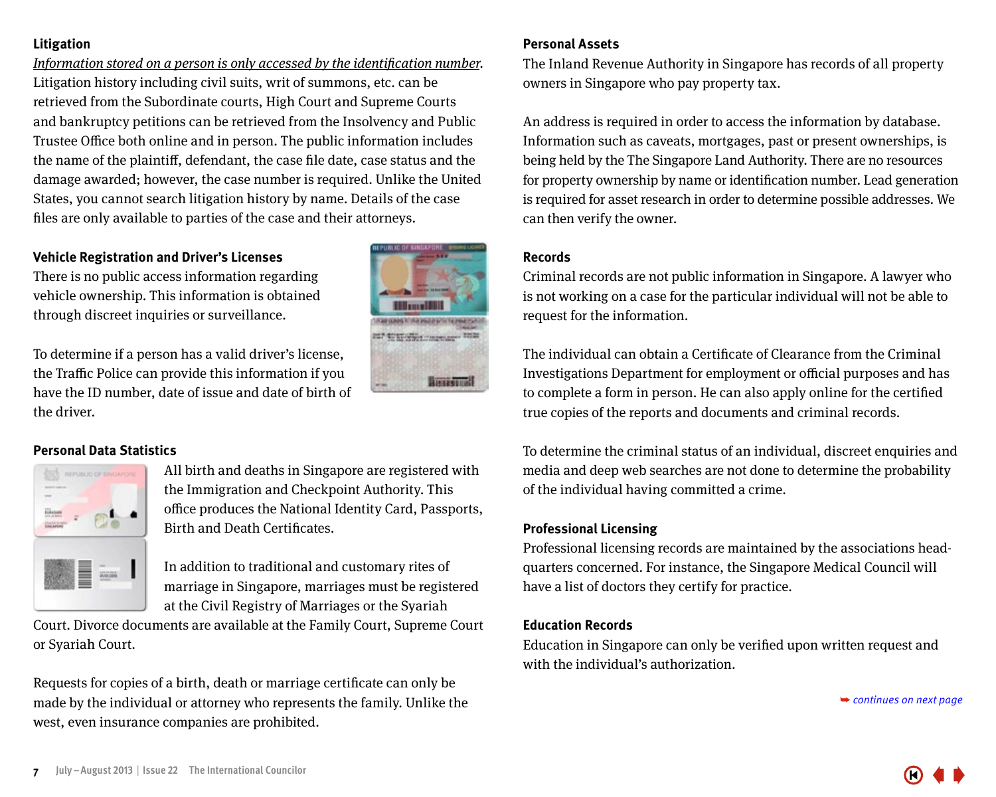#### **Litigation**

Information stored on a person is only accessed by the identification number. Litigation history including civil suits, writ of summons, etc. can be retrieved from the Subordinate courts, High Court and Supreme Courts and bankruptcy petitions can be retrieved from the Insolvency and Public Trustee Office both online and in person. The public information includes the name of the plaintiff, defendant, the case file date, case status and the damage awarded; however, the case number is required. Unlike the United States, you cannot search litigation history by name. Details of the case files are only available to parties of the case and their attorneys.

#### **Vehicle Registration and Driver's Licenses**

There is no public access information regarding vehicle ownership. This information is obtained through discreet inquiries or surveillance.

To determine if a person has a valid driver's license, the Traffic Police can provide this information if you have the ID number, date of issue and date of birth of the driver.





All birth and deaths in Singapore are registered with the Immigration and Checkpoint Authority. This office produces the National Identity Card, Passports, Birth and Death Certificates.

In addition to traditional and customary rites of marriage in Singapore, marriages must be registered at the Civil Registry of Marriages or the Syariah

Court. Divorce documents are available at the Family Court, Supreme Court or Syariah Court.

Requests for copies of a birth, death or marriage certificate can only be made by the individual or attorney who represents the family. Unlike the west, even insurance companies are prohibited.

#### **Personal Assets**

The Inland Revenue Authority in Singapore has records of all property owners in Singapore who pay property tax.

An address is required in order to access the information by database. Information such as caveats, mortgages, past or present ownerships, is being held by the The Singapore Land Authority. There are no resources for property ownership by name or identification number. Lead generation is required for asset research in order to determine possible addresses. We can then verify the owner.

#### **Records**

Criminal records are not public information in Singapore. A lawyer who is not working on a case for the particular individual will not be able to request for the information.

The individual can obtain a Certificate of Clearance from the Criminal Investigations Department for employment or official purposes and has to complete a form in person. He can also apply online for the certified true copies of the reports and documents and criminal records.

To determine the criminal status of an individual, discreet enquiries and media and deep web searches are not done to determine the probability of the individual having committed a crime.

#### **Professional Licensing**

Professional licensing records are maintained by the associations headquarters concerned. For instance, the Singapore Medical Council will have a list of doctors they certify for practice.

#### **Education Records**

Education in Singapore can only be verified upon written request and with the individual's authorization.

➥ *[continues on next page](#page-7-0)*



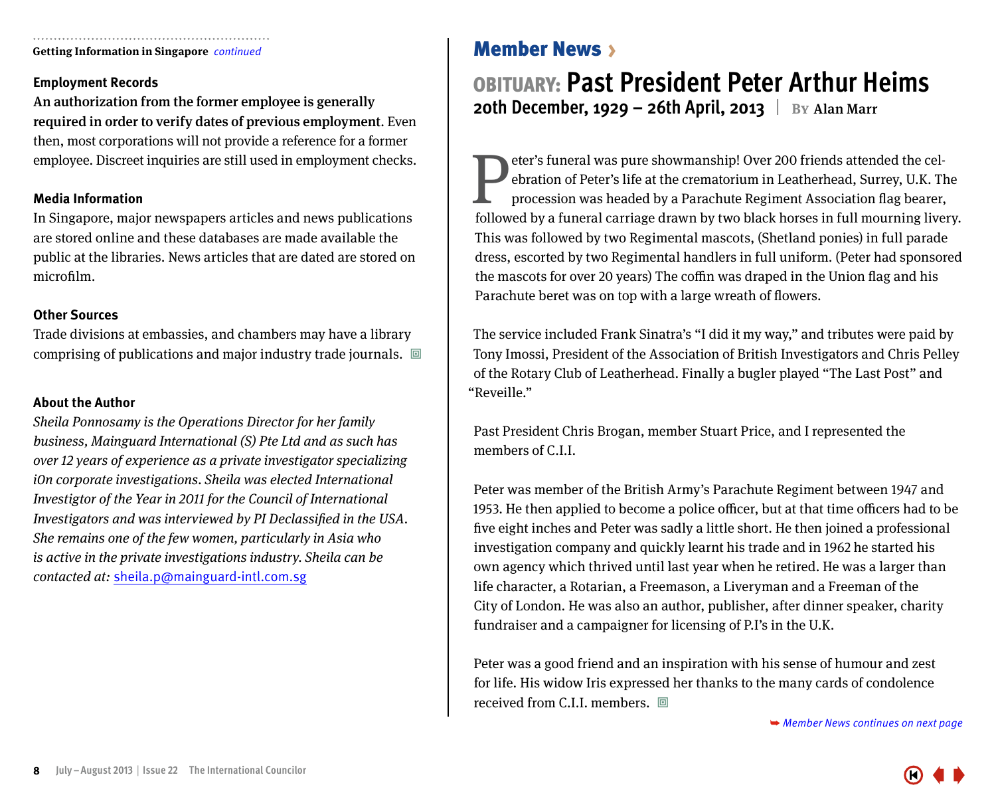<span id="page-7-0"></span>**Getting Information in Singapore** *continued* Member News >

#### **Employment Records**

An authorization from the former employee is generally required in order to verify dates of previous employment. Even then, most corporations will not provide a reference for a former employee. Discreet inquiries are still used in employment checks.

#### **Media Information**

In Singapore, major newspapers articles and news publications are stored online and these databases are made available the public at the libraries. News articles that are dated are stored on microfilm.

#### **Other Sources**

Trade divisions at embassies, and chambers may have a library comprising of publications and major industry trade journals.  $\Box$ 

#### **About the Author**

Sheila Ponnosamy is the Operations Director for her family business, Mainguard International (S) Pte Ltd and as such has over 12 years of experience as a private investigator specializing i0n corporate investigations. Sheila was elected International Investigtor of the Year in 2011 for the Council of International Investigators and was interviewed by PI Declassified in the USA. She remains one of the few women, particularly in Asia who is active in the private investigations industry. Sheila can be contacted at: sheila.p@mainguard-intl.com.sg

### OBITUARY: **Past President Peter Arthur Heims 20th December, 1929 – 26th April, 2013** By Alan Marr

**Peter's funeral was pure showmanship! Over 200 friends attended the cel-**<br>ebration of Peter's life at the crematorium in Leatherhead, Surrey, U.K. The<br>procession was headed by a Parachute Regiment Association flag bearer, ebration of Peter's life at the crematorium in Leatherhead, Surrey, U.K. The procession was headed by a Parachute Regiment Association flag bearer, followed by a funeral carriage drawn by two black horses in full mourning livery. This was followed by two Regimental mascots, (Shetland ponies) in full parade dress, escorted by two Regimental handlers in full uniform. (Peter had sponsored the mascots for over 20 years) The coffin was draped in the Union flag and his Parachute beret was on top with a large wreath of flowers.

The service included Frank Sinatra's "I did it my way," and tributes were paid by Tony Imossi, President of the Association of British Investigators and Chris Pelley of the Rotary Club of Leatherhead. Finally a bugler played "The Last Post" and "Reveille."

Past President Chris Brogan, member Stuart Price, and I represented the members of C.I.I.

Peter was member of the British Army's Parachute Regiment between 1947 and 1953. He then applied to become a police officer, but at that time officers had to be five eight inches and Peter was sadly a little short. He then joined a professional investigation company and quickly learnt his trade and in 1962 he started his own agency which thrived until last year when he retired. He was a larger than life character, a Rotarian, a Freemason, a Liveryman and a Freeman of the City of London. He was also an author, publisher, after dinner speaker, charity fundraiser and a campaigner for licensing of P.I's in the U.K.

Peter was a good friend and an inspiration with his sense of humour and zest for life. His widow Iris expressed her thanks to the many cards of condolence received from C.I.I. members.  $\Box$ 

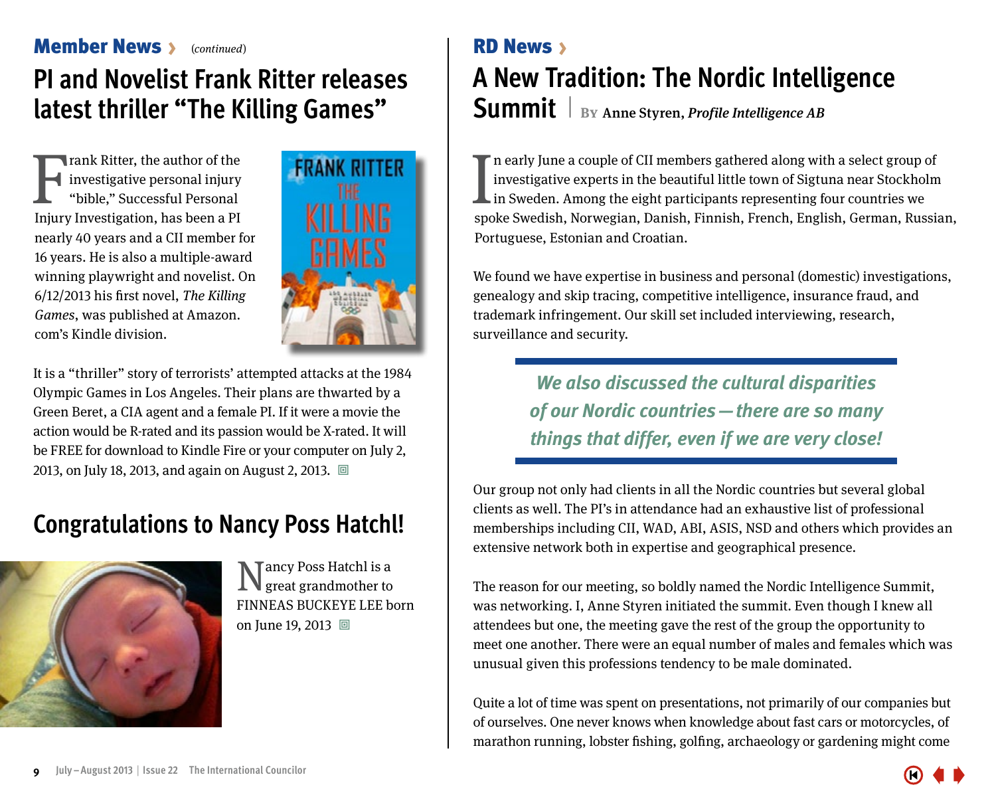### <span id="page-8-0"></span>**Member News** S (continued) **RD News** >

## **PI and Novelist Frank Ritter releases latest thriller "The Killing Games"**

Imax Ritter, the author of the<br>investigative personal injury<br>"bible," Successful Personal<br>Injury Investigation, has been a PI rank Ritter, the author of the investigative personal injury "bible," Successful Personal nearly 40 years and a CII member for 16 years. He is also a multiple-award winning playwright and novelist. On 6/12/2013 his first novel, The Killing Games, was published at Amazon. com's Kindle division.



It is a "thriller" story of terrorists' attempted attacks at the 1984 Olympic Games in Los Angeles. Their plans are thwarted by a Green Beret, a CIA agent and a female PI. If it were a movie the action would be R-rated and its passion would be X-rated. It will be FREE for download to Kindle Fire or your computer on July 2, 2013, on July 18, 2013, and again on August 2, 2013. <sup>a</sup>

### **Congratulations to Nancy Poss Hatchl!**



Nancy Poss Hatchl is a great grandmother to FINNEAS BUCKEYE LEE born on June 19, 2013 回

# **A New Tradition: The Nordic Intelligence**  Summit  $\vert$  By Anne Styren, *Profile Intelligence AB*

In early June a couple of CII members gathered along with a select group of investigative experts in the beautiful little town of Sigtuna near Stockholm in Sweden. Among the eight participants representing four countries w n early June a couple of CII members gathered along with a select group of investigative experts in the beautiful little town of Sigtuna near Stockholm In Sweden. Among the eight participants representing four countries we Portuguese, Estonian and Croatian.

We found we have expertise in business and personal (domestic) investigations, genealogy and skip tracing, competitive intelligence, insurance fraud, and trademark infringement. Our skill set included interviewing, research, surveillance and security.

> *We also discussed the cultural disparities of our Nordic countries—there are so many things that differ, even if we are very close!*

Our group not only had clients in all the Nordic countries but several global clients as well. The PI's in attendance had an exhaustive list of professional memberships including CII, WAD, ABI, ASIS, NSD and others which provides an extensive network both in expertise and geographical presence.

The reason for our meeting, so boldly named the Nordic Intelligence Summit, was networking. I, Anne Styren initiated the summit. Even though I knew all attendees but one, the meeting gave the rest of the group the opportunity to meet one another. There were an equal number of males and females which was unusual given this professions tendency to be male dominated.

Quite a lot of time was spent on presentations, not primarily of our companies but of ourselves. One never knows when knowledge about fast cars or motorcycles, of marathon running, lobster fishing, golfing, archaeology or gardening might come

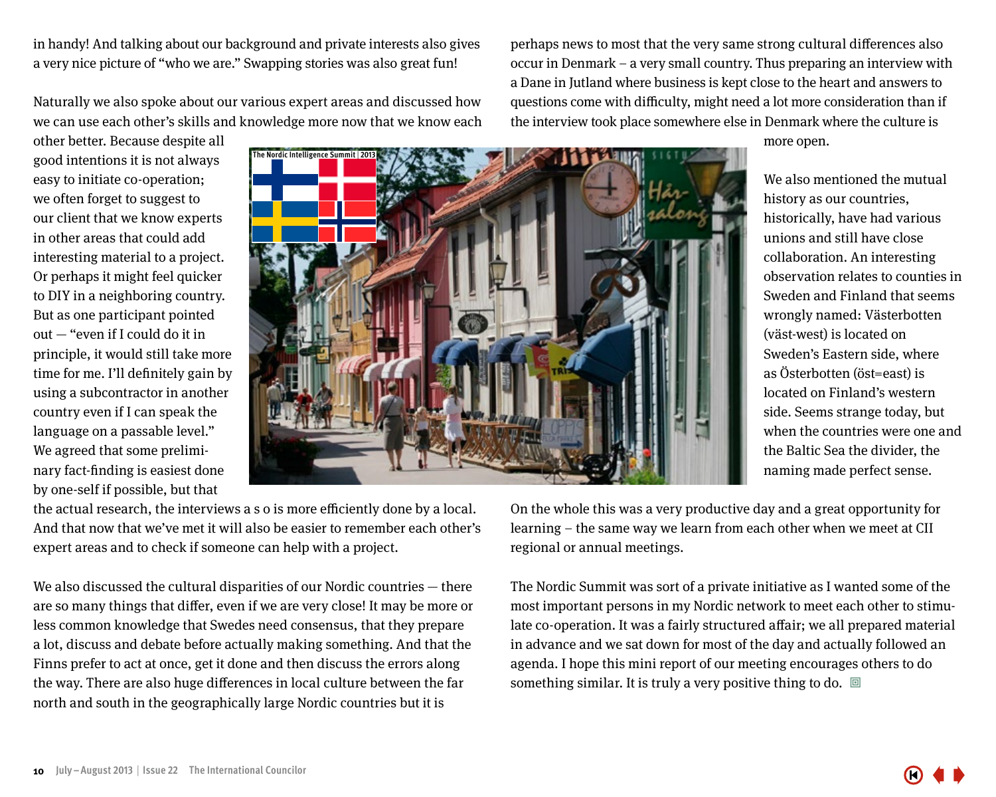**10 July–August 2013** | **Issue 22 The International Councilor**

in handy! And talking about our background and private interests also gives a very nice picture of "who we are." Swapping stories was also great fun!

Naturally we also spoke about our various expert areas and discussed how we can use each other's skills and knowledge more now that we know each

other better. Because despite all good intentions it is not always easy to initiate co-operation; we often forget to suggest to our client that we know experts in other areas that could add interesting material to a project. Or perhaps it might feel quicker to DIY in a neighboring country. But as one participant pointed out — "even if I could do it in principle, it would still take more time for me. I'll definitely gain by using a subcontractor in another country even if I can speak the language on a passable level." We agreed that some preliminary fact-finding is easiest done by one-self if possible, but that

the actual research, the interviews a s o is more efficiently done by a local. And that now that we've met it will also be easier to remember each other's expert areas and to check if someone can help with a project.

We also discussed the cultural disparities of our Nordic countries — there are so many things that differ, even if we are very close! It may be more or less common knowledge that Swedes need consensus, that they prepare a lot, discuss and debate before actually making something. And that the Finns prefer to act at once, get it done and then discuss the errors along the way. There are also huge differences in local culture between the far north and south in the geographically large Nordic countries but it is

learning – the same way we learn from each other when we meet at CII regional or annual meetings.

The Nordic Summit was sort of a private initiative as I wanted some of the most important persons in my Nordic network to meet each other to stimulate co-operation. It was a fairly structured affair; we all prepared material in advance and we sat down for most of the day and actually followed an agenda. I hope this mini report of our meeting encourages others to do something similar. It is truly a very positive thing to do.  $\Box$ 

On the whole this was a very productive day and a great opportunity for

We also mentioned the mutual history as our countries, historically, have had various unions and still have close collaboration. An interesting observation relates to counties in Sweden and Finland that seems wrongly named: Västerbotten (väst-west) is located on Sweden's Eastern side, where as Österbotten (öst=east) is located on Finland's western side. Seems strange today, but when the countries were one and the Baltic Sea the divider, the naming made perfect sense.

questions come with difficulty, might need a lot more consideration than if the interview took place somewhere else in Denmark where the culture is more open.

perhaps news to most that the very same strong cultural differences also occur in Denmark – a very small country. Thus preparing an interview with a Dane in Jutland where business is kept close to the heart and answers to

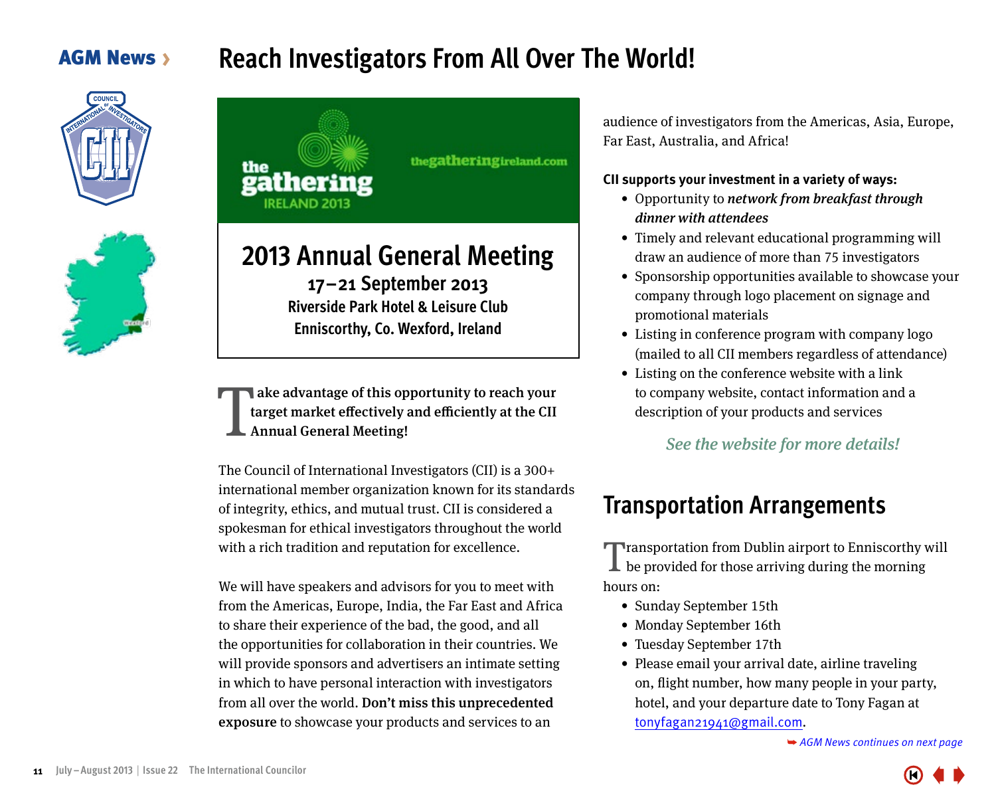### <span id="page-10-0"></span>**AGM News >**

### **Reach Investigators From All Over The World!**







**Enniscorthy, Co. Wexford, Ireland**

ake advantage of this opportunity to reach your target market effectively and efficiently at the CII Annual General Meeting! T

The Council of International Investigators (CII) is a 300+ international member organization known for its standards of integrity, ethics, and mutual trust. CII is considered a spokesman for ethical investigators throughout the world with a rich tradition and reputation for excellence.

We will have speakers and advisors for you to meet with from the Americas, Europe, India, the Far East and Africa to share their experience of the bad, the good, and all the opportunities for collaboration in their countries. We will provide sponsors and advertisers an intimate setting in which to have personal interaction with investigators from all over the world. Don't miss this unprecedented exposure to showcase your products and services to an

audience of investigators from the Americas, Asia, Europe, Far East, Australia, and Africa!

#### **CII supports your investment in a variety of ways:**

- Opportunity to network from breakfast through dinner with attendees
- Timely and relevant educational programming will draw an audience of more than 75 investigators
- Sponsorship opportunities available to showcase your company through logo placement on signage and promotional materials
- Listing in conference program with company logo (mailed to all CII members regardless of attendance)
- Listing on the conference website with a link to company website, contact information and a description of your products and services

#### See the website for more details!

### **Transportation Arrangements**

**Transportation from Dublin airport to Enniscorthy will**  $\perp$  be provided for those arriving during the morning hours on:

- Sunday September 15th
- Monday September 16th
- Tuesday September 17th
- Please email your arrival date, airline traveling on, flight number, how many people in your party, hotel, and your departure date to Tony Fagan at tonyfagan21941@gmail.com.



<sup>➥</sup> *[AGM News continues on next page](#page-11-0)*